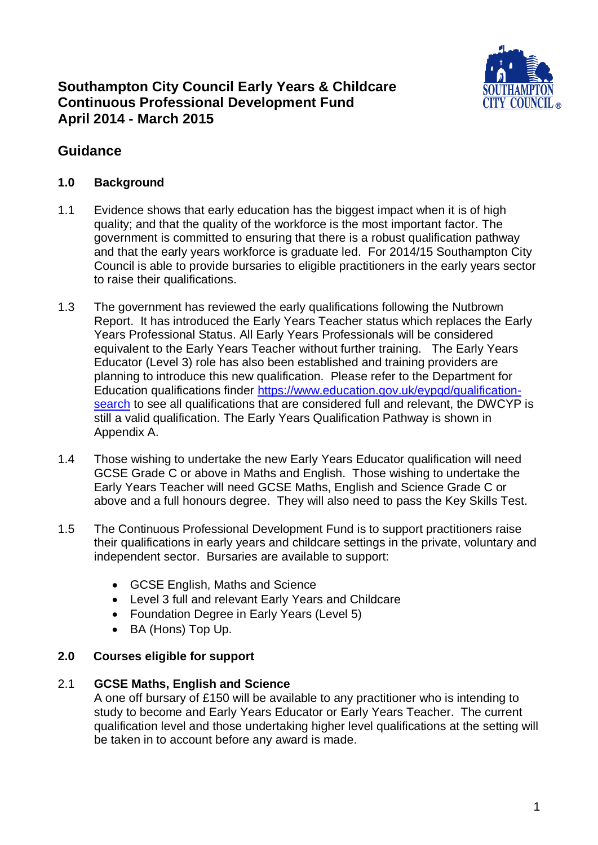

## **Southampton City Council Early Years & Childcare Continuous Professional Development Fund April 2014 - March 2015**

## **Guidance**

### **1.0 Background**

- 1.1 Evidence shows that early education has the biggest impact when it is of high quality; and that the quality of the workforce is the most important factor. The government is committed to ensuring that there is a robust qualification pathway and that the early years workforce is graduate led. For 2014/15 Southampton City Council is able to provide bursaries to eligible practitioners in the early years sector to raise their qualifications.
- 1.3 The government has reviewed the early qualifications following the Nutbrown Report. It has introduced the Early Years Teacher status which replaces the Early Years Professional Status. All Early Years Professionals will be considered equivalent to the Early Years Teacher without further training. The Early Years Educator (Level 3) role has also been established and training providers are planning to introduce this new qualification. Please refer to the Department for Education qualifications finder [https://www.education.gov.uk/eypqd/qualification](https://www.education.gov.uk/eypqd/qualification-search)[search](https://www.education.gov.uk/eypqd/qualification-search) to see all qualifications that are considered full and relevant, the DWCYP is still a valid qualification. The Early Years Qualification Pathway is shown in Appendix A.
- 1.4 Those wishing to undertake the new Early Years Educator qualification will need GCSE Grade C or above in Maths and English. Those wishing to undertake the Early Years Teacher will need GCSE Maths, English and Science Grade C or above and a full honours degree. They will also need to pass the Key Skills Test.
- 1.5 The Continuous Professional Development Fund is to support practitioners raise their qualifications in early years and childcare settings in the private, voluntary and independent sector. Bursaries are available to support:
	- GCSE English, Maths and Science
	- Level 3 full and relevant Early Years and Childcare
	- Foundation Degree in Early Years (Level 5)
	- BA (Hons) Top Up.

### **2.0 Courses eligible for support**

### 2.1 **GCSE Maths, English and Science**

A one off bursary of £150 will be available to any practitioner who is intending to study to become and Early Years Educator or Early Years Teacher. The current qualification level and those undertaking higher level qualifications at the setting will be taken in to account before any award is made.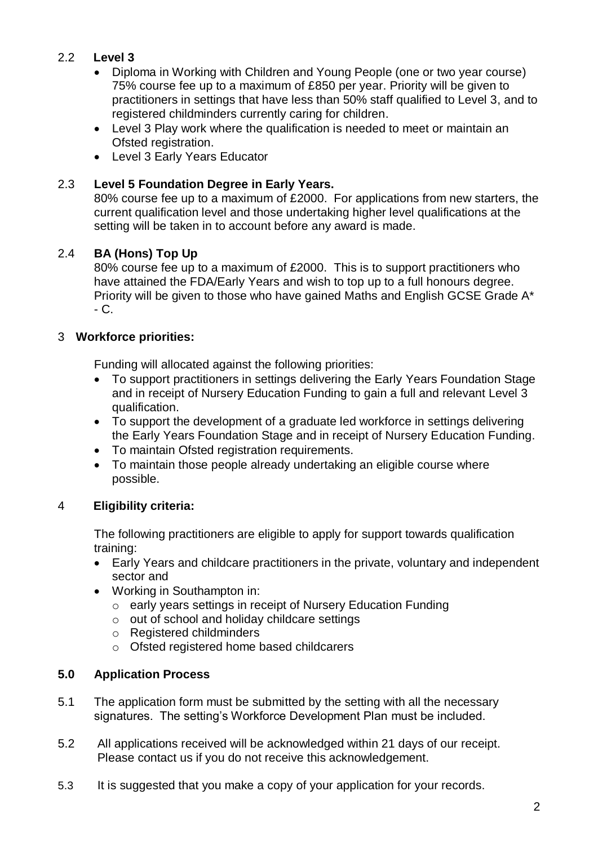### 2.2 **Level 3**

- Diploma in Working with Children and Young People (one or two year course) 75% course fee up to a maximum of £850 per year. Priority will be given to practitioners in settings that have less than 50% staff qualified to Level 3, and to registered childminders currently caring for children.
- Level 3 Play work where the qualification is needed to meet or maintain an Ofsted registration.
- Level 3 Early Years Educator

### 2.3 **Level 5 Foundation Degree in Early Years.**

80% course fee up to a maximum of £2000. For applications from new starters, the current qualification level and those undertaking higher level qualifications at the setting will be taken in to account before any award is made.

### 2.4 **BA (Hons) Top Up**

80% course fee up to a maximum of £2000. This is to support practitioners who have attained the FDA/Early Years and wish to top up to a full honours degree. Priority will be given to those who have gained Maths and English GCSE Grade A\*  $-C.$ 

### 3 **Workforce priorities:**

Funding will allocated against the following priorities:

- To support practitioners in settings delivering the Early Years Foundation Stage and in receipt of Nursery Education Funding to gain a full and relevant Level 3 qualification.
- To support the development of a graduate led workforce in settings delivering the Early Years Foundation Stage and in receipt of Nursery Education Funding.
- To maintain Ofsted registration requirements.
- To maintain those people already undertaking an eligible course where possible.

### 4 **Eligibility criteria:**

The following practitioners are eligible to apply for support towards qualification training:

- Early Years and childcare practitioners in the private, voluntary and independent sector and
- Working in Southampton in:
	- o early years settings in receipt of Nursery Education Funding
	- o out of school and holiday childcare settings
	- o Registered childminders
	- o Ofsted registered home based childcarers

### **5.0 Application Process**

- 5.1 The application form must be submitted by the setting with all the necessary signatures. The setting's Workforce Development Plan must be included.
- 5.2 All applications received will be acknowledged within 21 days of our receipt. Please contact us if you do not receive this acknowledgement.
- 5.3 It is suggested that you make a copy of your application for your records.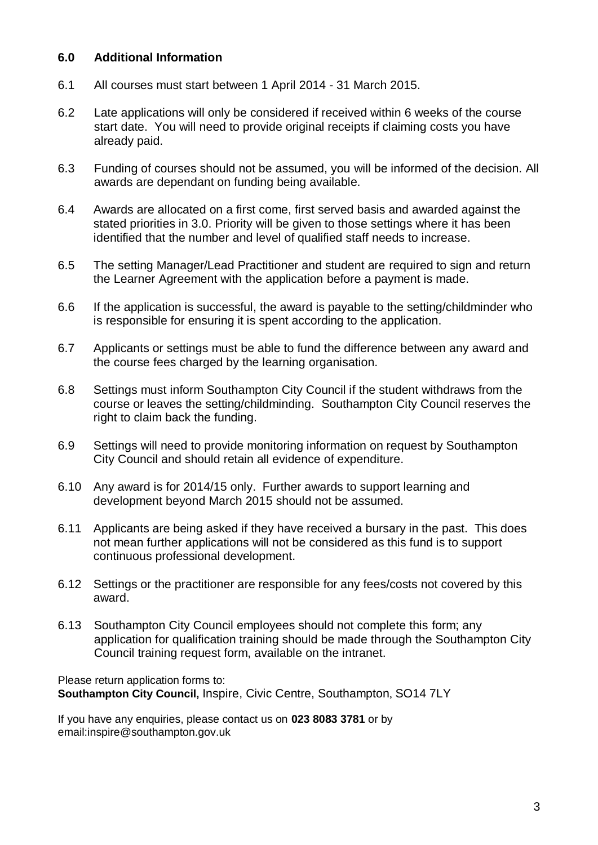#### **6.0 Additional Information**

- 6.1 All courses must start between 1 April 2014 31 March 2015.
- 6.2 Late applications will only be considered if received within 6 weeks of the course start date. You will need to provide original receipts if claiming costs you have already paid.
- 6.3 Funding of courses should not be assumed, you will be informed of the decision. All awards are dependant on funding being available.
- 6.4 Awards are allocated on a first come, first served basis and awarded against the stated priorities in 3.0. Priority will be given to those settings where it has been identified that the number and level of qualified staff needs to increase.
- 6.5 The setting Manager/Lead Practitioner and student are required to sign and return the Learner Agreement with the application before a payment is made.
- 6.6 If the application is successful, the award is payable to the setting/childminder who is responsible for ensuring it is spent according to the application.
- 6.7 Applicants or settings must be able to fund the difference between any award and the course fees charged by the learning organisation.
- 6.8 Settings must inform Southampton City Council if the student withdraws from the course or leaves the setting/childminding. Southampton City Council reserves the right to claim back the funding.
- 6.9 Settings will need to provide monitoring information on request by Southampton City Council and should retain all evidence of expenditure.
- 6.10 Any award is for 2014/15 only. Further awards to support learning and development beyond March 2015 should not be assumed.
- 6.11 Applicants are being asked if they have received a bursary in the past. This does not mean further applications will not be considered as this fund is to support continuous professional development.
- 6.12 Settings or the practitioner are responsible for any fees/costs not covered by this award.
- 6.13 Southampton City Council employees should not complete this form; any application for qualification training should be made through the Southampton City Council training request form, available on the intranet.

Please return application forms to: **Southampton City Council,** Inspire, Civic Centre, Southampton, SO14 7LY

If you have any enquiries, please contact us on **023 8083 3781** or by email:inspire@southampton.gov.uk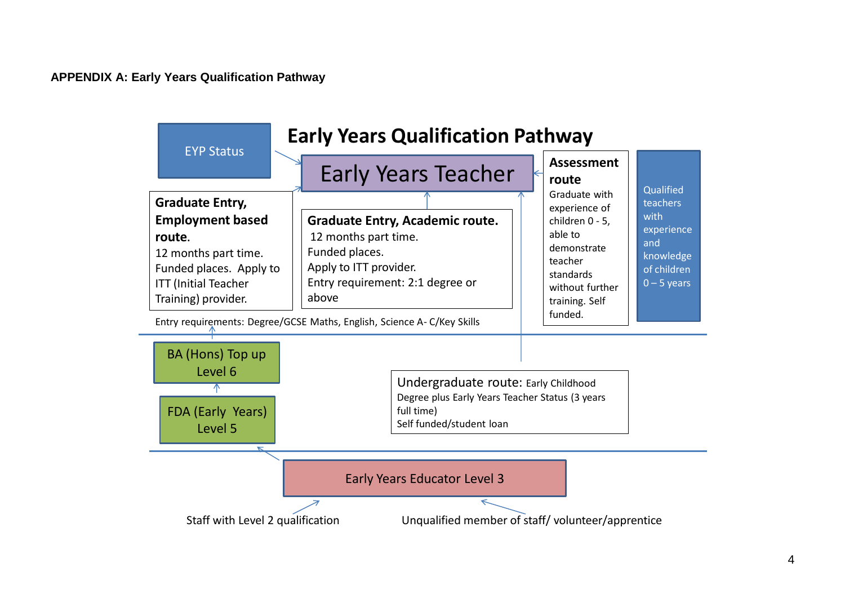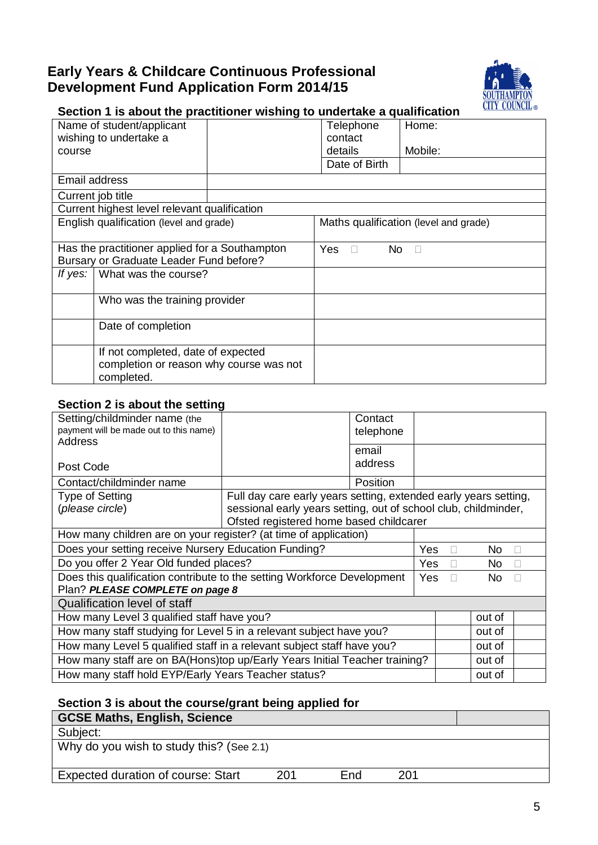## **Early Years & Childcare Continuous Professional Development Fund Application Form 2014/15**



## **Section 1 is about the practitioner wishing to undertake a qualification**

|                                                | Name of student/applicant                    |                       | Telephone     | Home:                                 |
|------------------------------------------------|----------------------------------------------|-----------------------|---------------|---------------------------------------|
| wishing to undertake a                         |                                              |                       | contact       |                                       |
| course                                         |                                              |                       | details       | Mobile:                               |
|                                                |                                              |                       | Date of Birth |                                       |
| Email address                                  |                                              |                       |               |                                       |
|                                                | Current job title                            |                       |               |                                       |
|                                                | Current highest level relevant qualification |                       |               |                                       |
|                                                | English qualification (level and grade)      |                       |               | Maths qualification (level and grade) |
|                                                |                                              |                       |               |                                       |
| Has the practitioner applied for a Southampton |                                              | Yes.<br>No.<br>$\Box$ |               |                                       |
|                                                | Bursary or Graduate Leader Fund before?      |                       |               |                                       |
| What was the course?<br>If yes:                |                                              |                       |               |                                       |
|                                                |                                              |                       |               |                                       |
|                                                | Who was the training provider                |                       |               |                                       |
|                                                |                                              |                       |               |                                       |
|                                                | Date of completion                           |                       |               |                                       |
|                                                |                                              |                       |               |                                       |
| If not completed, date of expected             |                                              |                       |               |                                       |
|                                                | completion or reason why course was not      |                       |               |                                       |
|                                                | completed.                                   |                       |               |                                       |

### **Section 2 is about the setting**

| Setting/childminder name (the<br>payment will be made out to this name)<br>Address |                                                                  | Contact<br>telephone |            |        |               |
|------------------------------------------------------------------------------------|------------------------------------------------------------------|----------------------|------------|--------|---------------|
|                                                                                    |                                                                  | email                |            |        |               |
| Post Code                                                                          |                                                                  | address              |            |        |               |
| Contact/childminder name                                                           |                                                                  | Position             |            |        |               |
| <b>Type of Setting</b>                                                             | Full day care early years setting, extended early years setting, |                      |            |        |               |
| (please circle)                                                                    | sessional early years setting, out of school club, childminder,  |                      |            |        |               |
|                                                                                    | Ofsted registered home based childcarer                          |                      |            |        |               |
| How many children are on your register? (at time of application)                   |                                                                  |                      |            |        |               |
| Does your setting receive Nursery Education Funding?                               |                                                                  |                      | Yes        | No.    | $\sim$        |
| Do you offer 2 Year Old funded places?                                             |                                                                  |                      | <b>Yes</b> | No.    | $\mathcal{L}$ |
| Does this qualification contribute to the setting Workforce Development            |                                                                  |                      | Yes        | No.    |               |
| Plan? PLEASE COMPLETE on page 8                                                    |                                                                  |                      |            |        |               |
| <b>Qualification level of staff</b>                                                |                                                                  |                      |            |        |               |
| How many Level 3 qualified staff have you?                                         |                                                                  |                      |            | out of |               |
| How many staff studying for Level 5 in a relevant subject have you?                |                                                                  |                      |            | out of |               |
| How many Level 5 qualified staff in a relevant subject staff have you?             |                                                                  |                      |            | out of |               |
| How many staff are on BA(Hons)top up/Early Years Initial Teacher training?         |                                                                  |                      |            | out of |               |
| How many staff hold EYP/Early Years Teacher status?                                |                                                                  |                      |            | out of |               |

### **Section 3 is about the course/grant being applied for**

| <b>GCSE Maths, English, Science</b>       |     |            |     |  |
|-------------------------------------------|-----|------------|-----|--|
| Subject:                                  |     |            |     |  |
| Why do you wish to study this? (See 2.1)  |     |            |     |  |
| <b>Expected duration of course: Start</b> | 201 | <b>Fnd</b> | 201 |  |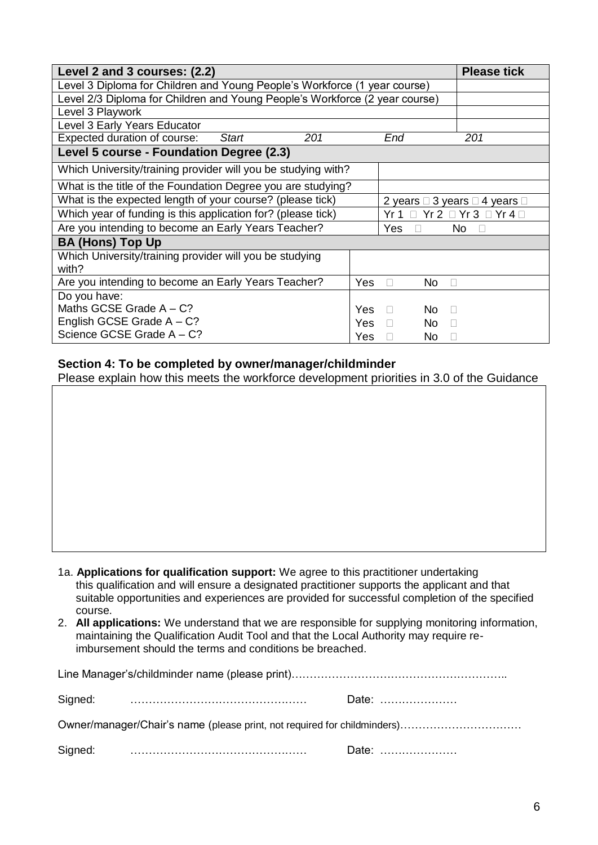| Level 2 and 3 courses: (2.2)                                                | <b>Please tick</b>          |        |                                                       |  |  |
|-----------------------------------------------------------------------------|-----------------------------|--------|-------------------------------------------------------|--|--|
| Level 3 Diploma for Children and Young People's Workforce (1 year course)   |                             |        |                                                       |  |  |
| Level 2/3 Diploma for Children and Young People's Workforce (2 year course) |                             |        |                                                       |  |  |
| Level 3 Playwork                                                            |                             |        |                                                       |  |  |
| Level 3 Early Years Educator                                                |                             |        |                                                       |  |  |
| Expected duration of course:<br><b>Start</b>                                | 201                         | End    | 201                                                   |  |  |
| Level 5 course - Foundation Degree (2.3)                                    |                             |        |                                                       |  |  |
| Which University/training provider will you be studying with?               |                             |        |                                                       |  |  |
| What is the title of the Foundation Degree you are studying?                |                             |        |                                                       |  |  |
| What is the expected length of your course? (please tick)                   |                             |        | 2 years $\Box$ 3 years $\Box$ 4 years $\Box$          |  |  |
| Which year of funding is this application for? (please tick)                |                             |        | $Yr 1 \square Yr 2 \square Yr 3 \square Yr 4 \square$ |  |  |
| Are you intending to become an Early Years Teacher?<br>Yes                  |                             |        | No<br>$\Box$                                          |  |  |
| <b>BA (Hons) Top Up</b>                                                     |                             |        |                                                       |  |  |
| Which University/training provider will you be studying<br>with?            |                             |        |                                                       |  |  |
| Are you intending to become an Early Years Teacher?                         | Yes<br>No.<br>$\Box$        | $\Box$ |                                                       |  |  |
| Do you have:                                                                |                             |        |                                                       |  |  |
| Maths GCSE Grade $A - C$ ?                                                  | <b>Yes</b><br>No.<br>$\Box$ | П      |                                                       |  |  |
| English GCSE Grade $A - C$ ?                                                | Yes<br>No.<br>$\Box$        | П      |                                                       |  |  |
| Science GCSE Grade A - C?                                                   | Yes                         | No.    | г                                                     |  |  |

#### **Section 4: To be completed by owner/manager/childminder**

Please explain how this meets the workforce development priorities in 3.0 of the Guidance

- 1a. **Applications for qualification support:** We agree to this practitioner undertaking this qualification and will ensure a designated practitioner supports the applicant and that suitable opportunities and experiences are provided for successful completion of the specified course.
- 2. **All applications:** We understand that we are responsible for supplying monitoring information, maintaining the Qualification Audit Tool and that the Local Authority may require reimbursement should the terms and conditions be breached.

|                                                                          | Date: |
|--------------------------------------------------------------------------|-------|
| Owner/manager/Chair's name (please print, not required for childminders) |       |
|                                                                          | Date: |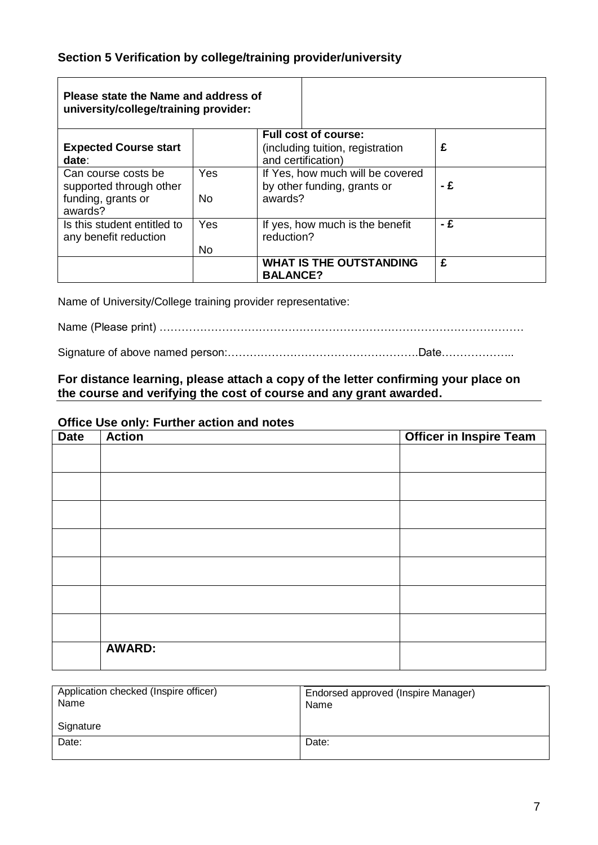### **Section 5 Verification by college/training provider/university**

| Please state the Name and address of<br>university/college/training provider:   |                              |                                                                                       |     |
|---------------------------------------------------------------------------------|------------------------------|---------------------------------------------------------------------------------------|-----|
| <b>Expected Course start</b><br>date:                                           |                              | <b>Full cost of course:</b><br>(including tuition, registration<br>and certification) | £   |
| Can course costs be<br>supported through other<br>funding, grants or<br>awards? | <b>Yes</b><br>N <sub>0</sub> | If Yes, how much will be covered<br>by other funding, grants or<br>awards?            | - £ |
| Is this student entitled to<br>any benefit reduction                            | Yes<br>No                    | If yes, how much is the benefit<br>reduction?                                         | - £ |
|                                                                                 |                              | <b>WHAT IS THE OUTSTANDING</b><br><b>BALANCE?</b>                                     | £   |

Name of University/College training provider representative:

Name (Please print) ………………………………………………………………………………………

Signature of above named person:…………………………………………….Date………………..

#### **For distance learning, please attach a copy of the letter confirming your place on the course and verifying the cost of course and any grant awarded.**

#### **Office Use only: Further action and notes**

| <b>Date</b> | ะ<br><b>Action</b> | <b>Officer in Inspire Team</b> |
|-------------|--------------------|--------------------------------|
|             |                    |                                |
|             |                    |                                |
|             |                    |                                |
|             |                    |                                |
|             |                    |                                |
|             |                    |                                |
|             |                    |                                |
|             |                    |                                |
|             | <b>AWARD:</b>      |                                |

| Application checked (Inspire officer)<br>Name | Endorsed approved (Inspire Manager)<br>Name |
|-----------------------------------------------|---------------------------------------------|
| Signature                                     |                                             |
| Date:                                         | Date:                                       |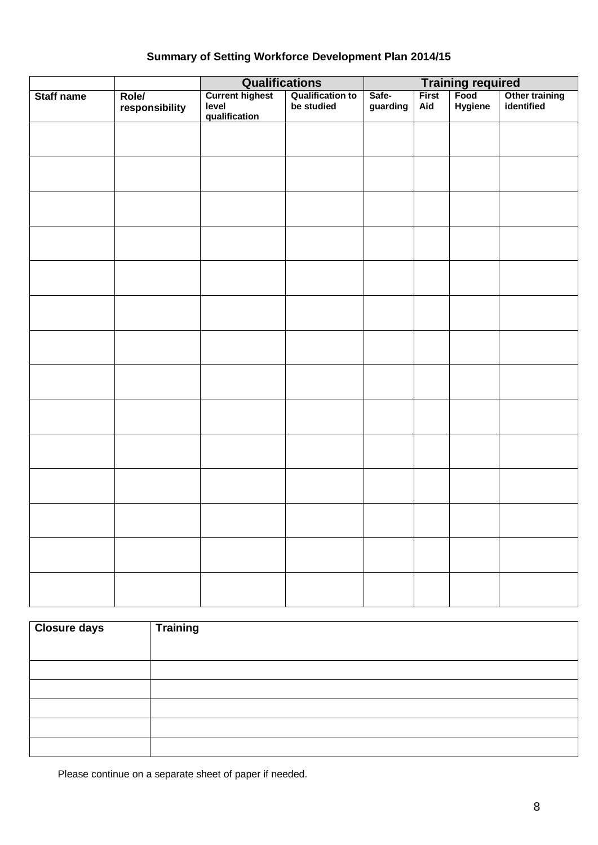## **Summary of Setting Workforce Development Plan 2014/15**

|                   |                                | <b>Qualifications</b>                            |                                       | Training required<br>First   Food   Othe |              |         |                              |
|-------------------|--------------------------------|--------------------------------------------------|---------------------------------------|------------------------------------------|--------------|---------|------------------------------|
| <b>Staff name</b> | <b>Role/</b><br>responsibility | <b>Current highest</b><br>level<br>qualification | <b>Qualification to</b><br>be studied | Safe-<br>guarding                        | First<br>Aid | Hygiene | Other training<br>identified |
|                   |                                |                                                  |                                       |                                          |              |         |                              |
|                   |                                |                                                  |                                       |                                          |              |         |                              |
|                   |                                |                                                  |                                       |                                          |              |         |                              |
|                   |                                |                                                  |                                       |                                          |              |         |                              |
|                   |                                |                                                  |                                       |                                          |              |         |                              |
|                   |                                |                                                  |                                       |                                          |              |         |                              |
|                   |                                |                                                  |                                       |                                          |              |         |                              |
|                   |                                |                                                  |                                       |                                          |              |         |                              |
|                   |                                |                                                  |                                       |                                          |              |         |                              |
|                   |                                |                                                  |                                       |                                          |              |         |                              |
|                   |                                |                                                  |                                       |                                          |              |         |                              |
|                   |                                |                                                  |                                       |                                          |              |         |                              |
|                   |                                |                                                  |                                       |                                          |              |         |                              |
|                   |                                |                                                  |                                       |                                          |              |         |                              |

| <b>Closure days</b> | <b>Training</b> |
|---------------------|-----------------|
|                     |                 |
|                     |                 |
|                     |                 |
|                     |                 |
|                     |                 |
|                     |                 |

Please continue on a separate sheet of paper if needed.